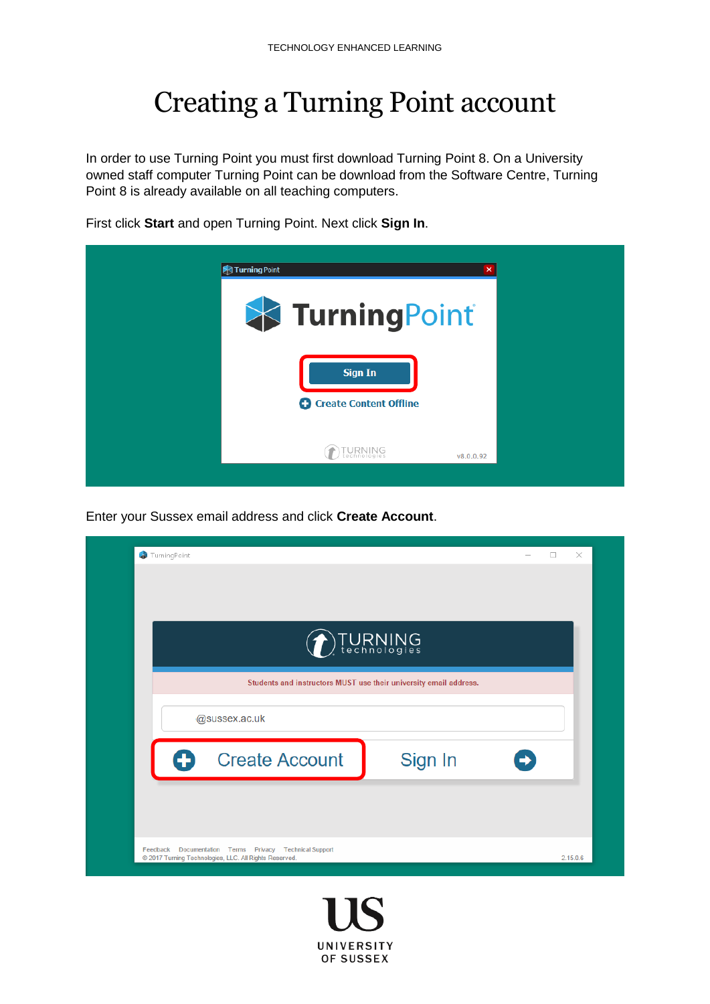## Creating a Turning Point account

In order to use Turning Point you must first download Turning Point 8. On a University owned staff computer Turning Point can be download from the Software Centre, Turning Point 8 is already available on all teaching computers.



First click **Start** and open Turning Point. Next click **Sign In**.

Enter your Sussex email address and click **Create Account**.

|   | <b>DIURNING</b>                                                   |         |  |
|---|-------------------------------------------------------------------|---------|--|
|   | Students and instructors MUST use their university email address. |         |  |
|   | @sussex.ac.uk                                                     |         |  |
| A | <b>Create Account</b>                                             | Sign In |  |

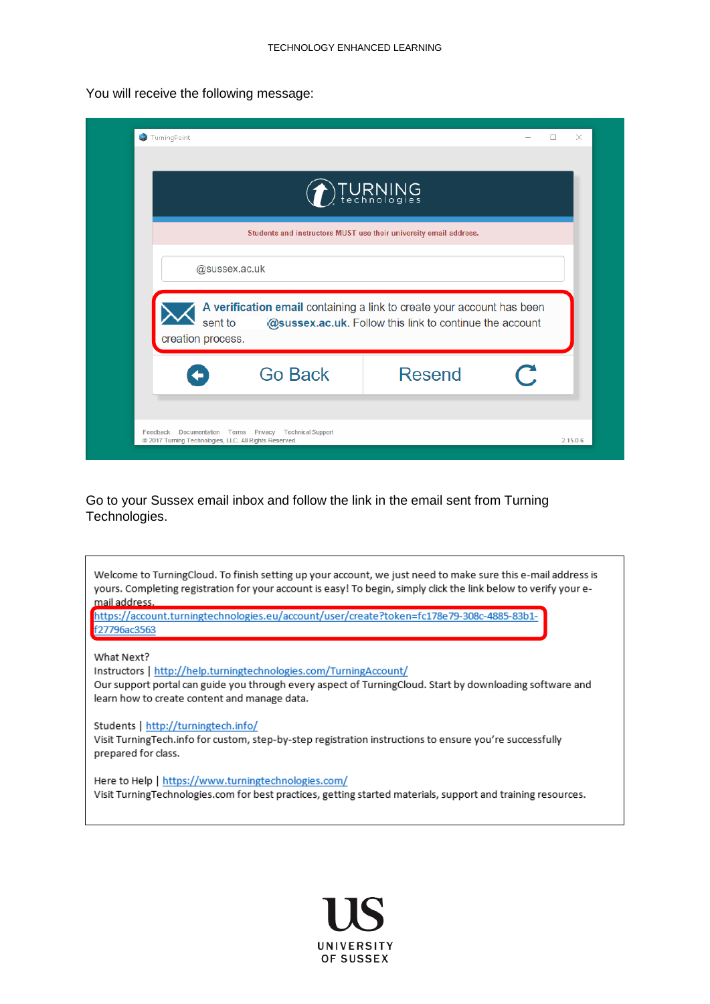You will receive the following message:

|                   |                                                                                   | TURNING                                                 |  |  |  |  |
|-------------------|-----------------------------------------------------------------------------------|---------------------------------------------------------|--|--|--|--|
|                   | Students and instructors MUST use their university email address.                 |                                                         |  |  |  |  |
|                   | @sussex.ac.uk                                                                     |                                                         |  |  |  |  |
|                   |                                                                                   |                                                         |  |  |  |  |
| creation process. | A verification email containing a link to create your account has been<br>sent to | @sussex.ac.uk. Follow this link to continue the account |  |  |  |  |

Go to your Sussex email inbox and follow the link in the email sent from Turning Technologies.

| Welcome to TurningCloud. To finish setting up your account, we just need to make sure this e-mail address is<br>yours. Completing registration for your account is easy! To begin, simply click the link below to verify your e-<br>mail address.<br>https://account.turningtechnologies.eu/account/user/create?token=fc178e79-308c-4885-83b1-<br>f27796ac3563 |
|----------------------------------------------------------------------------------------------------------------------------------------------------------------------------------------------------------------------------------------------------------------------------------------------------------------------------------------------------------------|
| What Next?<br>Instructors   http://help.turningtechnologies.com/TurningAccount/<br>Our support portal can guide you through every aspect of TurningCloud. Start by downloading software and<br>learn how to create content and manage data.                                                                                                                    |
| Students   http://turningtech.info/<br>Visit TurningTech.info for custom, step-by-step registration instructions to ensure you're successfully<br>prepared for class.                                                                                                                                                                                          |
| Here to Help   https://www.turningtechnologies.com/<br>Visit Turning Technologies.com for best practices, getting started materials, support and training resources.                                                                                                                                                                                           |

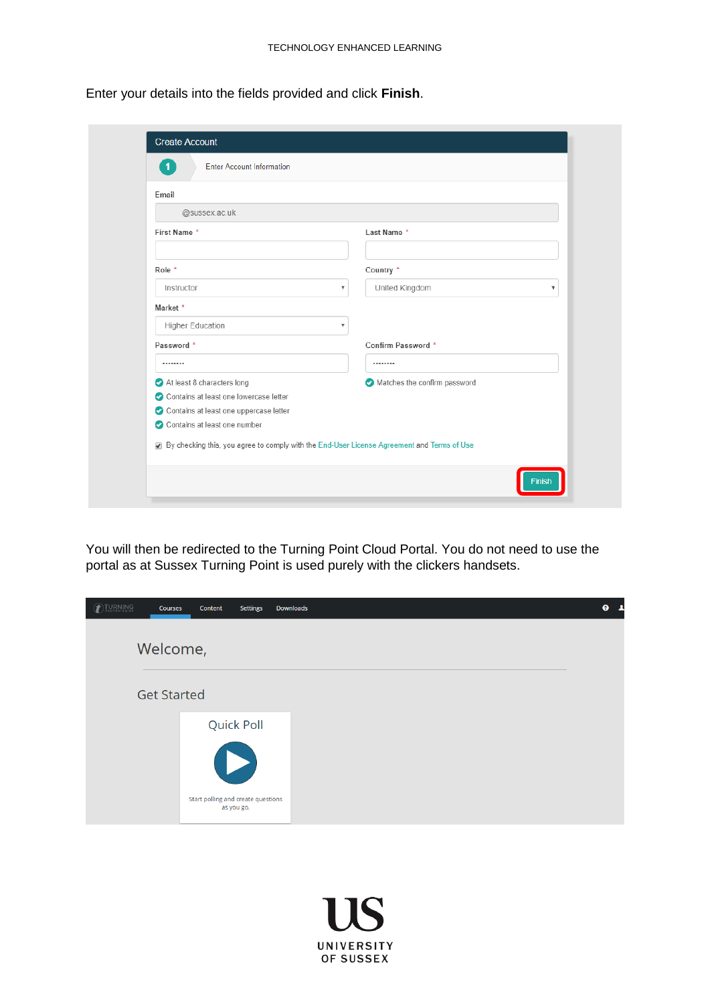Enter your details into the fields provided and click **Finish**.

| Email                                                                                      |                                           |
|--------------------------------------------------------------------------------------------|-------------------------------------------|
| @sussex.ac.uk                                                                              |                                           |
| First Name*                                                                                | Last Name *                               |
| Role *                                                                                     | Country *                                 |
| Instructor                                                                                 | United Kingdom<br>$\overline{\mathbf{v}}$ |
| Market *                                                                                   |                                           |
| Higher Education                                                                           | $\overline{\mathbf{v}}$                   |
| Password *                                                                                 | Confirm Password *                        |
|                                                                                            |                                           |
| At least 8 characters long                                                                 | Matches the confirm password              |
| Contains at least one lowercase letter                                                     |                                           |
| Contains at least one uppercase letter                                                     |                                           |
| Contains at least one number                                                               |                                           |
| By checking this, you agree to comply with the End-User License Agreement and Terms of Use |                                           |

You will then be redirected to the Turning Point Cloud Portal. You do not need to use the portal as at Sussex Turning Point is used purely with the clickers handsets.

| <b>TURNING</b><br>Courses | <b>Settings</b><br>Content                       | Downloads | ❸ |
|---------------------------|--------------------------------------------------|-----------|---|
| Welcome,                  |                                                  |           |   |
| <b>Get Started</b>        |                                                  |           |   |
|                           | Quick Poll<br>D                                  |           |   |
|                           | Start polling and create questions<br>as you go. |           |   |

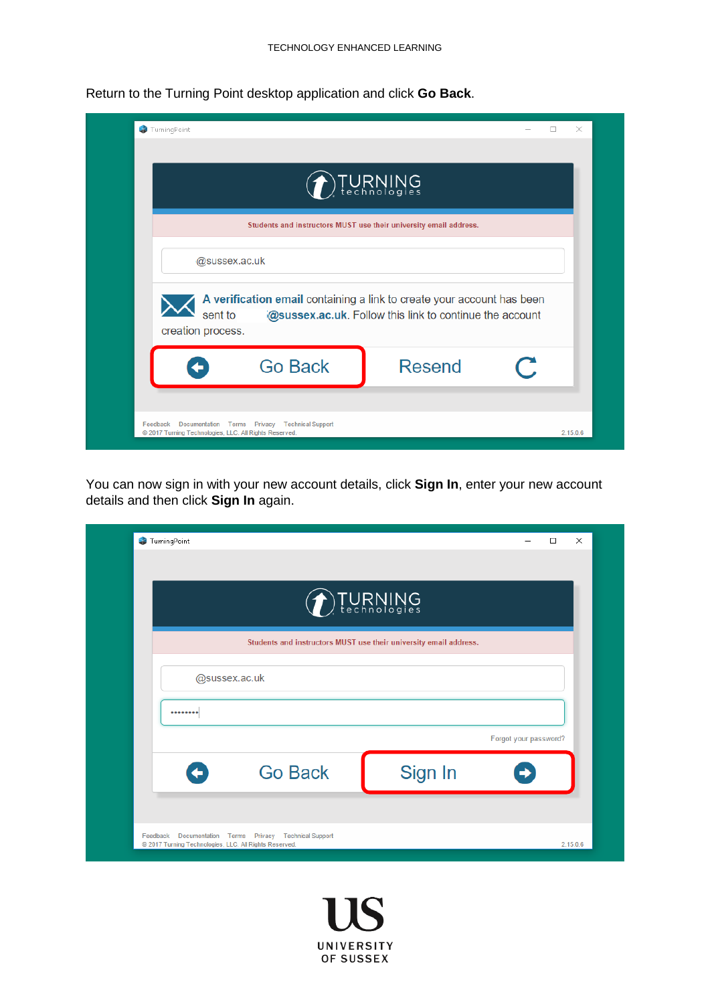

Return to the Turning Point desktop application and click **Go Back**.

You can now sign in with your new account details, click **Sign In**, enter your new account details and then click **Sign In** again.

| $\left.\left.\right)$ TURNING                                     |         |                       |  |  |  |
|-------------------------------------------------------------------|---------|-----------------------|--|--|--|
| Students and instructors MUST use their university email address. |         |                       |  |  |  |
| @sussex.ac.uk                                                     |         |                       |  |  |  |
|                                                                   |         |                       |  |  |  |
|                                                                   |         | Forgot your password? |  |  |  |
| <b>Go Back</b><br>$\blacklozenge$                                 | Sign In |                       |  |  |  |